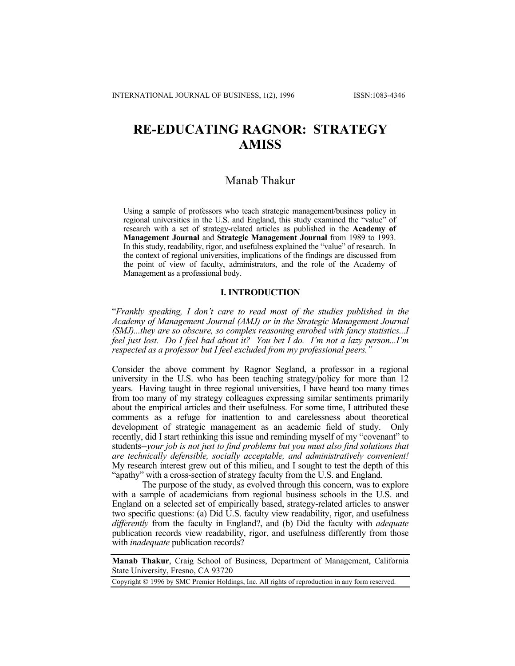# **RE-EDUCATING RAGNOR: STRATEGY AMISS**

## Manab Thakur

Using a sample of professors who teach strategic management/business policy in regional universities in the U.S. and England, this study examined the "value" of research with a set of strategy-related articles as published in the **Academy of Management Journal** and **Strategic Management Journal** from 1989 to 1993. In this study, readability, rigor, and usefulness explained the "value" of research. In the context of regional universities, implications of the findings are discussed from the point of view of faculty, administrators, and the role of the Academy of Management as a professional body.

### **I. INTRODUCTION**

"*Frankly speaking, I don't care to read most of the studies published in the Academy of Management Journal (AMJ) or in the Strategic Management Journal (SMJ)...they are so obscure, so complex reasoning enrobed with fancy statistics...I feel just lost. Do I feel bad about it? You bet I do. I'm not a lazy person...I'm respected as a professor but I feel excluded from my professional peers."* 

Consider the above comment by Ragnor Segland, a professor in a regional university in the U.S. who has been teaching strategy/policy for more than 12 years. Having taught in three regional universities, I have heard too many times from too many of my strategy colleagues expressing similar sentiments primarily about the empirical articles and their usefulness. For some time, I attributed these comments as a refuge for inattention to and carelessness about theoretical development of strategic management as an academic field of study. Only recently, did I start rethinking this issue and reminding myself of my "covenant" to students--*your job is not just to find problems but you must also find solutions that are technically defensible, socially acceptable, and administratively convenient!*  My research interest grew out of this milieu, and I sought to test the depth of this "apathy" with a cross-section of strategy faculty from the U.S. and England.

The purpose of the study, as evolved through this concern, was to explore with a sample of academicians from regional business schools in the U.S. and England on a selected set of empirically based, strategy-related articles to answer two specific questions: (a) Did U.S. faculty view readability, rigor, and usefulness *differently* from the faculty in England?, and (b) Did the faculty with *adequate*  publication records view readability, rigor, and usefulness differently from those with *inadequate* publication records?

**Manab Thakur**, Craig School of Business, Department of Management, California State University, Fresno, CA 93720

Copyright 1996 by SMC Premier Holdings, Inc. All rights of reproduction in any form reserved.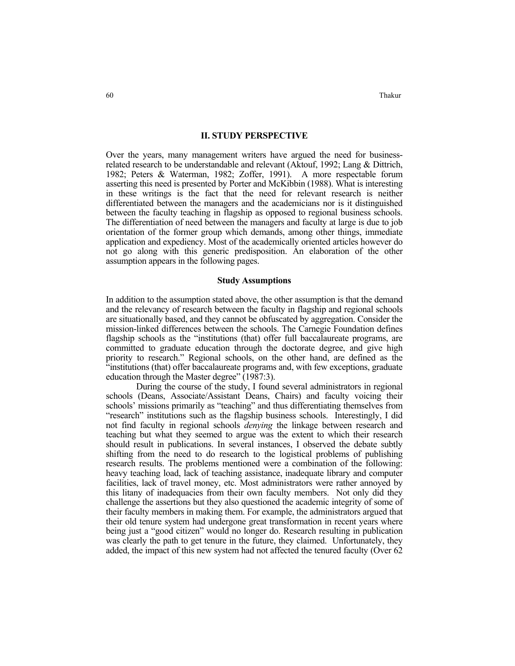#### **II. STUDY PERSPECTIVE**

Over the years, many management writers have argued the need for businessrelated research to be understandable and relevant (Aktouf, 1992; Lang & Dittrich, 1982; Peters & Waterman, 1982; Zoffer, 1991). A more respectable forum asserting this need is presented by Porter and McKibbin (1988). What is interesting in these writings is the fact that the need for relevant research is neither differentiated between the managers and the academicians nor is it distinguished between the faculty teaching in flagship as opposed to regional business schools. The differentiation of need between the managers and faculty at large is due to job orientation of the former group which demands, among other things, immediate application and expediency. Most of the academically oriented articles however do not go along with this generic predisposition. An elaboration of the other assumption appears in the following pages.

#### **Study Assumptions**

In addition to the assumption stated above, the other assumption is that the demand and the relevancy of research between the faculty in flagship and regional schools are situationally based, and they cannot be obfuscated by aggregation. Consider the mission-linked differences between the schools. The Carnegie Foundation defines flagship schools as the "institutions (that) offer full baccalaureate programs, are committed to graduate education through the doctorate degree, and give high priority to research." Regional schools, on the other hand, are defined as the "institutions (that) offer baccalaureate programs and, with few exceptions, graduate education through the Master degree" (1987:3).

 During the course of the study, I found several administrators in regional schools (Deans, Associate/Assistant Deans, Chairs) and faculty voicing their schools' missions primarily as "teaching" and thus differentiating themselves from "research" institutions such as the flagship business schools. Interestingly, I did not find faculty in regional schools *denying* the linkage between research and teaching but what they seemed to argue was the extent to which their research should result in publications. In several instances, I observed the debate subtly shifting from the need to do research to the logistical problems of publishing research results. The problems mentioned were a combination of the following: heavy teaching load, lack of teaching assistance, inadequate library and computer facilities, lack of travel money, etc. Most administrators were rather annoyed by this litany of inadequacies from their own faculty members. Not only did they challenge the assertions but they also questioned the academic integrity of some of their faculty members in making them. For example, the administrators argued that their old tenure system had undergone great transformation in recent years where being just a "good citizen" would no longer do. Research resulting in publication was clearly the path to get tenure in the future, they claimed. Unfortunately, they added, the impact of this new system had not affected the tenured faculty (Over 62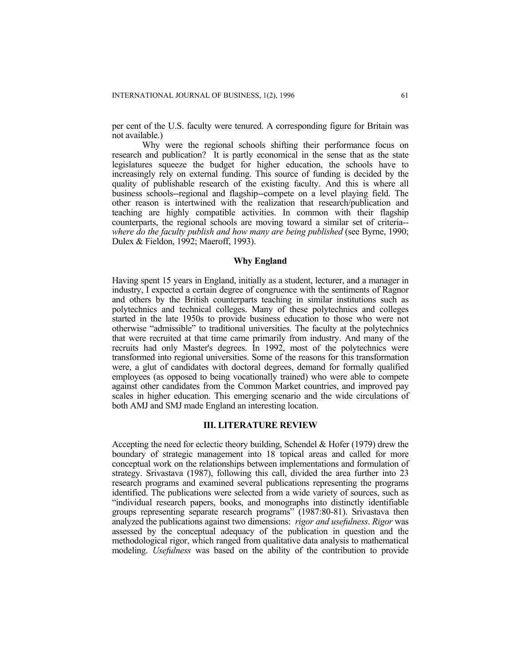per cent of the U.S. faculty were tenured. A corresponding figure for Britain was not available.)

 Why were the regional schools shifting their performance focus on research and publication? It is partly economical in the sense that as the state legislatures squeeze the budget for higher education, the schools have to increasingly rely on external funding. This source of funding is decided by the quality of publishable research of the existing faculty. And this is where all business schools--regional and flagship--compete on a level playing field. The other reason is intertwined with the realization that research/publication and teaching are highly compatible activities. In common with their flagship counterparts, the regional schools are moving toward a similar set of criteria- *where do the faculty publish and how many are being published* (see Byrne, 1990; Dulex & Fieldon, 1992; Maeroff, 1993).

### **Why England**

Having spent 15 years in England, initially as a student, lecturer, and a manager in industry, I expected a certain degree of congruence with the sentiments of Ragnor and others by the British counterparts teaching in similar institutions such as polytechnics and technical colleges. Many of these polytechnics and colleges started in the late 1950s to provide business education to those who were not otherwise "admissible" to traditional universities. The faculty at the polytechnics that were recruited at that time came primarily from industry. And many of the recruits had only Master's degrees. In 1992, most of the polytechnics were transformed into regional universities. Some of the reasons for this transformation were, a glut of candidates with doctoral degrees, demand for formally qualified employees (as opposed to being vocationally trained) who were able to compete against other candidates from the Common Market countries, and improved pay scales in higher education. This emerging scenario and the wide circulations of both AMJ and SMJ made England an interesting location.

## **III. LITERATURE REVIEW**

Accepting the need for eclectic theory building, Schendel & Hofer (1979) drew the boundary of strategic management into 18 topical areas and called for more conceptual work on the relationships between implementations and formulation of strategy. Srivastava (1987), following this call, divided the area further into 23 research programs and examined several publications representing the programs identified. The publications were selected from a wide variety of sources, such as "individual research papers, books, and monographs into distinctly identifiable groups representing separate research programs" (1987:80-81). Srivastava then analyzed the publications against two dimensions: *rigor and usefulness*. *Rigor* was assessed by the conceptual adequacy of the publication in question and the methodological rigor, which ranged from qualitative data analysis to mathematical modeling. *Usefulness* was based on the ability of the contribution to provide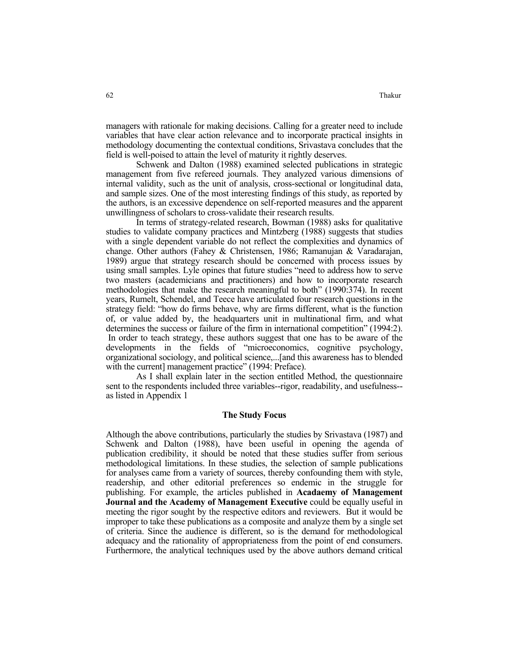managers with rationale for making decisions. Calling for a greater need to include variables that have clear action relevance and to incorporate practical insights in methodology documenting the contextual conditions, Srivastava concludes that the field is well-poised to attain the level of maturity it rightly deserves.

 Schwenk and Dalton (1988) examined selected publications in strategic management from five refereed journals. They analyzed various dimensions of internal validity, such as the unit of analysis, cross-sectional or longitudinal data, and sample sizes. One of the most interesting findings of this study, as reported by the authors, is an excessive dependence on self-reported measures and the apparent unwillingness of scholars to cross-validate their research results.

 In terms of strategy-related research, Bowman (1988) asks for qualitative studies to validate company practices and Mintzberg (1988) suggests that studies with a single dependent variable do not reflect the complexities and dynamics of change. Other authors (Fahey & Christensen, 1986; Ramanujan & Varadarajan, 1989) argue that strategy research should be concerned with process issues by using small samples. Lyle opines that future studies "need to address how to serve two masters (academicians and practitioners) and how to incorporate research methodologies that make the research meaningful to both" (1990:374). In recent years, Rumelt, Schendel, and Teece have articulated four research questions in the strategy field: "how do firms behave, why are firms different, what is the function of, or value added by, the headquarters unit in multinational firm, and what determines the success or failure of the firm in international competition" (1994:2). In order to teach strategy, these authors suggest that one has to be aware of the developments in the fields of "microeconomics, cognitive psychology, organizational sociology, and political science,...[and this awareness has to blended with the current] management practice" (1994: Preface).

 As I shall explain later in the section entitled Method, the questionnaire sent to the respondents included three variables--rigor, readability, and usefulness- as listed in Appendix 1

#### **The Study Focus**

Although the above contributions, particularly the studies by Srivastava (1987) and Schwenk and Dalton (1988), have been useful in opening the agenda of publication credibility, it should be noted that these studies suffer from serious methodological limitations. In these studies, the selection of sample publications for analyses came from a variety of sources, thereby confounding them with style, readership, and other editorial preferences so endemic in the struggle for publishing. For example, the articles published in **Acadaemy of Management Journal and the Academy of Management Executive** could be equally useful in meeting the rigor sought by the respective editors and reviewers. But it would be improper to take these publications as a composite and analyze them by a single set of criteria. Since the audience is different, so is the demand for methodological adequacy and the rationality of appropriateness from the point of end consumers. Furthermore, the analytical techniques used by the above authors demand critical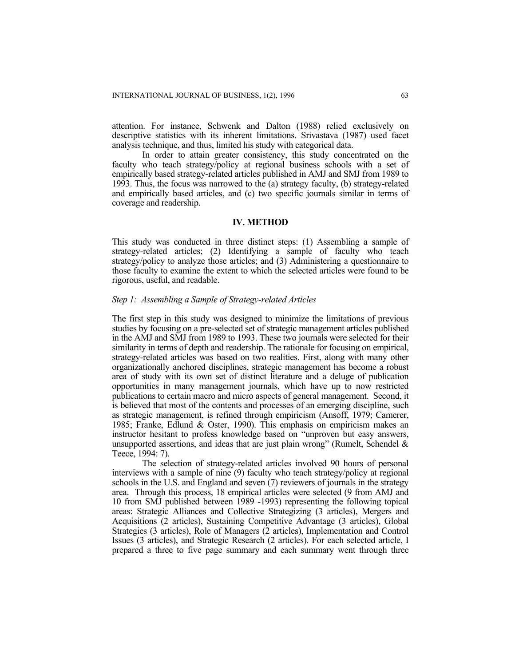attention. For instance, Schwenk and Dalton (1988) relied exclusively on descriptive statistics with its inherent limitations. Srivastava (1987) used facet analysis technique, and thus, limited his study with categorical data.

 In order to attain greater consistency, this study concentrated on the faculty who teach strategy/policy at regional business schools with a set of empirically based strategy-related articles published in AMJ and SMJ from 1989 to 1993. Thus, the focus was narrowed to the (a) strategy faculty, (b) strategy-related and empirically based articles, and (c) two specific journals similar in terms of coverage and readership.

### **IV. METHOD**

This study was conducted in three distinct steps: (1) Assembling a sample of strategy-related articles; (2) Identifying a sample of faculty who teach strategy/policy to analyze those articles; and (3) Administering a questionnaire to those faculty to examine the extent to which the selected articles were found to be rigorous, useful, and readable.

#### *Step 1: Assembling a Sample of Strategy-related Articles*

The first step in this study was designed to minimize the limitations of previous studies by focusing on a pre-selected set of strategic management articles published in the AMJ and SMJ from 1989 to 1993. These two journals were selected for their similarity in terms of depth and readership. The rationale for focusing on empirical, strategy-related articles was based on two realities. First, along with many other organizationally anchored disciplines, strategic management has become a robust area of study with its own set of distinct literature and a deluge of publication opportunities in many management journals, which have up to now restricted publications to certain macro and micro aspects of general management. Second, it is believed that most of the contents and processes of an emerging discipline, such as strategic management, is refined through empiricism (Ansoff, 1979; Camerer, 1985; Franke, Edlund & Oster, 1990). This emphasis on empiricism makes an instructor hesitant to profess knowledge based on "unproven but easy answers, unsupported assertions, and ideas that are just plain wrong" (Rumelt, Schendel  $\&$ Teece, 1994: 7).

 The selection of strategy-related articles involved 90 hours of personal interviews with a sample of nine (9) faculty who teach strategy/policy at regional schools in the U.S. and England and seven (7) reviewers of journals in the strategy area. Through this process, 18 empirical articles were selected (9 from AMJ and 10 from SMJ published between 1989 -1993) representing the following topical areas: Strategic Alliances and Collective Strategizing (3 articles), Mergers and Acquisitions (2 articles), Sustaining Competitive Advantage (3 articles), Global Strategies (3 articles), Role of Managers (2 articles), Implementation and Control Issues (3 articles), and Strategic Research (2 articles). For each selected article, I prepared a three to five page summary and each summary went through three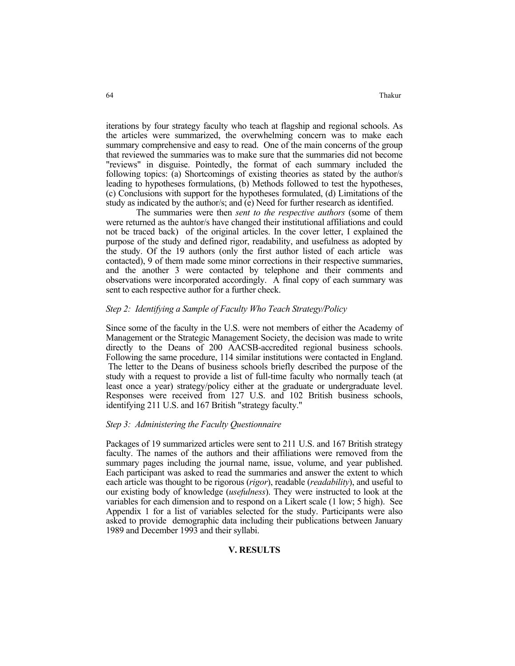iterations by four strategy faculty who teach at flagship and regional schools. As the articles were summarized, the overwhelming concern was to make each summary comprehensive and easy to read. One of the main concerns of the group that reviewed the summaries was to make sure that the summaries did not become "reviews" in disguise. Pointedly, the format of each summary included the following topics: (a) Shortcomings of existing theories as stated by the author/s leading to hypotheses formulations, (b) Methods followed to test the hypotheses, (c) Conclusions with support for the hypotheses formulated, (d) Limitations of the study as indicated by the author/s; and (e) Need for further research as identified.

 The summaries were then *sent to the respective authors* (some of them were returned as the auhtor/s have changed their institutional affiliations and could not be traced back) of the original articles. In the cover letter, I explained the purpose of the study and defined rigor, readability, and usefulness as adopted by the study. Of the 19 authors (only the first author listed of each article was contacted), 9 of them made some minor corrections in their respective summaries, and the another 3 were contacted by telephone and their comments and observations were incorporated accordingly. A final copy of each summary was sent to each respective author for a further check.

## *Step 2: Identifying a Sample of Faculty Who Teach Strategy/Policy*

Since some of the faculty in the U.S. were not members of either the Academy of Management or the Strategic Management Society, the decision was made to write directly to the Deans of 200 AACSB-accredited regional business schools. Following the same procedure, 114 similar institutions were contacted in England. The letter to the Deans of business schools briefly described the purpose of the study with a request to provide a list of full-time faculty who normally teach (at least once a year) strategy/policy either at the graduate or undergraduate level. Responses were received from 127 U.S. and 102 British business schools, identifying 211 U.S. and 167 British "strategy faculty."

#### *Step 3: Administering the Faculty Questionnaire*

Packages of 19 summarized articles were sent to 211 U.S. and 167 British strategy faculty. The names of the authors and their affiliations were removed from the summary pages including the journal name, issue, volume, and year published. Each participant was asked to read the summaries and answer the extent to which each article was thought to be rigorous (*rigor*), readable (*readability*), and useful to our existing body of knowledge (*usefulness*). They were instructed to look at the variables for each dimension and to respond on a Likert scale (1 low; 5 high). See Appendix 1 for a list of variables selected for the study. Participants were also asked to provide demographic data including their publications between January 1989 and December 1993 and their syllabi.

#### **V. RESULTS**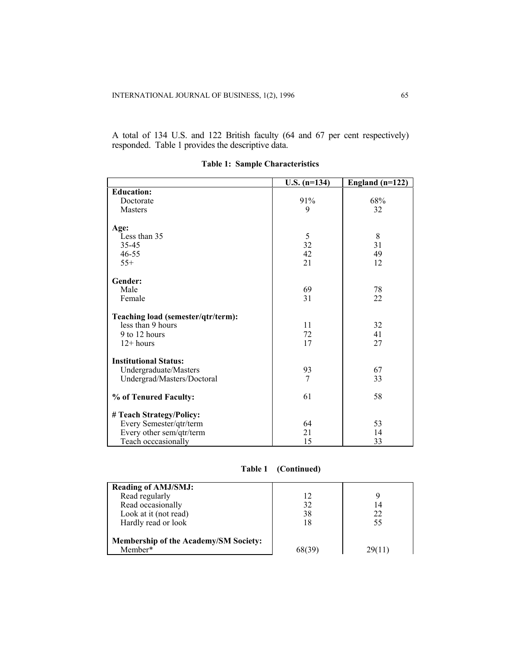A total of 134 U.S. and 122 British faculty (64 and 67 per cent respectively) responded. Table 1 provides the descriptive data.

| $U.S. (n=134)$ | England $(n=122)$          |
|----------------|----------------------------|
|                |                            |
| 91%            | 68%                        |
| 9              | 32                         |
|                |                            |
|                |                            |
| 5              | 8                          |
| 32             | 31                         |
| 42             | 49                         |
| 21             | 12                         |
|                |                            |
|                | 78                         |
|                | 22                         |
|                |                            |
|                |                            |
| 11             | 32                         |
| 72             | 41                         |
| 17             | 27                         |
|                |                            |
|                |                            |
| 93             | 67                         |
| 7              | 33                         |
|                |                            |
| 61             | 58                         |
|                |                            |
|                | 53                         |
|                | 14                         |
|                | 33                         |
|                | 69<br>31<br>64<br>21<br>15 |

**Table 1: Sample Characteristics**

|  | Table 1 |  | (Continued) |  |
|--|---------|--|-------------|--|
|--|---------|--|-------------|--|

| <b>Reading of AMJ/SMJ:</b><br>Read regularly<br>Read occasionally<br>Look at it (not read) | 12<br>32<br>38 | 14<br>22    |
|--------------------------------------------------------------------------------------------|----------------|-------------|
| Hardly read or look<br>Membership of the Academy/SM Society:<br>Member*                    | 18             | 55<br>29611 |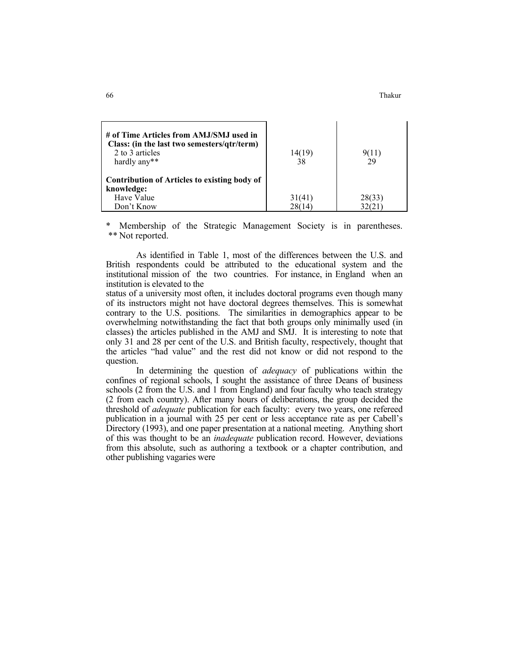| # of Time Articles from AMJ/SMJ used in<br>Class: (in the last two semesters/qtr/term)<br>2 to 3 articles<br>hardly any** | 14(19)<br>38 |        |
|---------------------------------------------------------------------------------------------------------------------------|--------------|--------|
| Contribution of Articles to existing body of                                                                              |              |        |
| knowledge:                                                                                                                |              |        |
| Have Value                                                                                                                | 31(41)       | 28(33) |
| Don't Know                                                                                                                | 28(14)       |        |

Membership of the Strategic Management Society is in parentheses. \*\* Not reported.

 As identified in Table 1, most of the differences between the U.S. and British respondents could be attributed to the educational system and the institutional mission of the two countries. For instance, in England when an institution is elevated to the

status of a university most often, it includes doctoral programs even though many of its instructors might not have doctoral degrees themselves. This is somewhat contrary to the U.S. positions. The similarities in demographics appear to be overwhelming notwithstanding the fact that both groups only minimally used (in classes) the articles published in the AMJ and SMJ. It is interesting to note that only 31 and 28 per cent of the U.S. and British faculty, respectively, thought that the articles "had value" and the rest did not know or did not respond to the question.

 In determining the question of *adequacy* of publications within the confines of regional schools, I sought the assistance of three Deans of business schools (2 from the U.S. and 1 from England) and four faculty who teach strategy (2 from each country). After many hours of deliberations, the group decided the threshold of *adequate* publication for each faculty: every two years, one refereed publication in a journal with 25 per cent or less acceptance rate as per Cabell's Directory (1993), and one paper presentation at a national meeting. Anything short of this was thought to be an *inadequate* publication record. However, deviations from this absolute, such as authoring a textbook or a chapter contribution, and other publishing vagaries were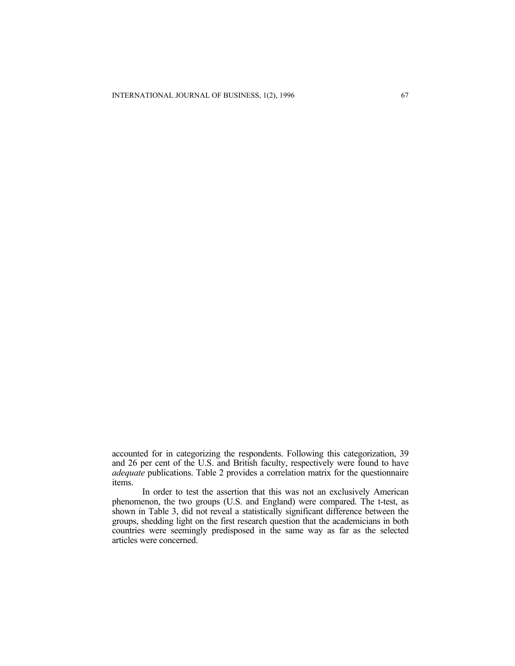accounted for in categorizing the respondents. Following this categorization, 39 and 26 per cent of the U.S. and British faculty, respectively were found to have *adequate* publications. Table 2 provides a correlation matrix for the questionnaire items.

 In order to test the assertion that this was not an exclusively American phenomenon, the two groups (U.S. and England) were compared. The t-test, as shown in Table 3, did not reveal a statistically significant difference between the groups, shedding light on the first research question that the academicians in both countries were seemingly predisposed in the same way as far as the selected articles were concerned.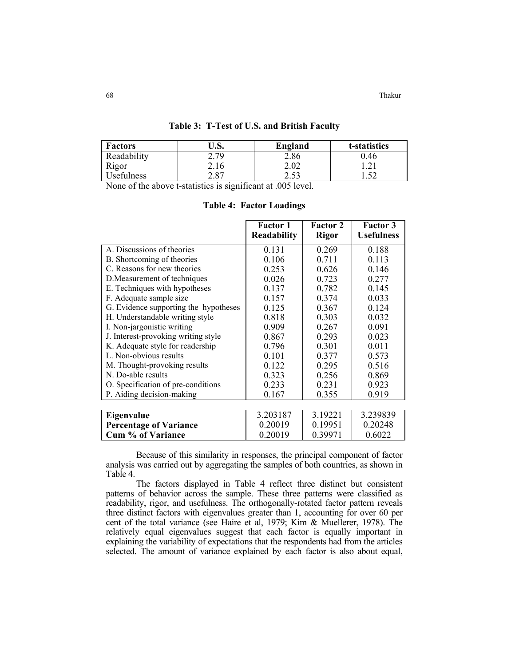68 Thakur

| <b>Factors</b>    | J.S. | England        | t-statistics    |
|-------------------|------|----------------|-----------------|
| Readability       | 2.79 | 2.86           | 0.46            |
| Rigor             | 2.16 | 2.02           | . 1             |
| <b>Usefulness</b> | 2.87 | つ くろ<br>ر ر. ے | $5^{\circ}$<br> |

#### **Table 3: T-Test of U.S. and British Faculty**

None of the above t-statistics is significant at .005 level.

|                                       | <b>Factor 1</b><br><b>Readability</b> | <b>Factor 2</b><br><b>Rigor</b> | <b>Factor 3</b><br><b>Usefulness</b> |
|---------------------------------------|---------------------------------------|---------------------------------|--------------------------------------|
| A. Discussions of theories            | 0.131                                 | 0.269                           | 0.188                                |
| B. Shortcoming of theories            | 0.106                                 | 0.711                           | 0.113                                |
| C. Reasons for new theories           | 0.253                                 | 0.626                           | 0.146                                |
| D. Measurement of techniques          | 0.026                                 | 0.723                           | 0.277                                |
| E. Techniques with hypotheses         | 0.137                                 | 0.782                           | 0.145                                |
| F. Adequate sample size               | 0.157                                 | 0.374                           | 0.033                                |
| G. Evidence supporting the hypotheses | 0.125                                 | 0.367                           | 0.124                                |
| H. Understandable writing style       | 0.818                                 | 0.303                           | 0.032                                |
| I. Non-jargonistic writing            | 0.909                                 | 0.267                           | 0.091                                |
| J. Interest-provoking writing style   | 0.867                                 | 0.293                           | 0.023                                |
| K. Adequate style for readership      | 0.796                                 | 0.301                           | 0.011                                |
| L. Non-obvious results                | 0.101                                 | 0.377                           | 0.573                                |
| M. Thought-provoking results          | 0.122                                 | 0.295                           | 0.516                                |
| N. Do-able results                    | 0.323                                 | 0.256                           | 0.869                                |
| O. Specification of pre-conditions    | 0.233                                 | 0.231                           | 0.923                                |
| P. Aiding decision-making             | 0.167                                 | 0.355                           | 0.919                                |
|                                       |                                       |                                 |                                      |
| Eigenvalue                            | 3.203187                              | 3.19221                         | 3.239839                             |
| <b>Percentage of Variance</b>         | 0.20019                               | 0.19951                         | 0.20248                              |
| <b>Cum % of Variance</b>              | 0.20019                               | 0.39971                         | 0.6022                               |

**Table 4: Factor Loadings**

 Because of this similarity in responses, the principal component of factor analysis was carried out by aggregating the samples of both countries, as shown in Table 4.

 The factors displayed in Table 4 reflect three distinct but consistent patterns of behavior across the sample. These three patterns were classified as readability, rigor, and usefulness. The orthogonally-rotated factor pattern reveals three distinct factors with eigenvalues greater than 1, accounting for over 60 per cent of the total variance (see Haire et al, 1979; Kim & Muellerer, 1978). The relatively equal eigenvalues suggest that each factor is equally important in explaining the variability of expectations that the respondents had from the articles selected. The amount of variance explained by each factor is also about equal,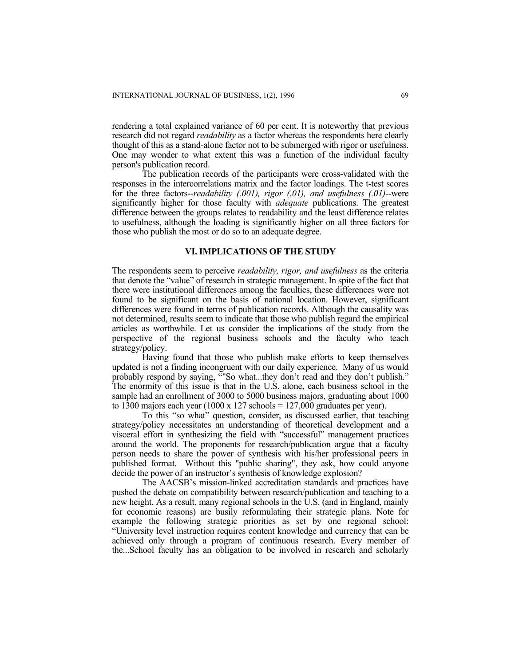rendering a total explained variance of 60 per cent. It is noteworthy that previous research did not regard *readability* as a factor whereas the respondents here clearly thought of this as a stand-alone factor not to be submerged with rigor or usefulness. One may wonder to what extent this was a function of the individual faculty person's publication record.

 The publication records of the participants were cross-validated with the responses in the intercorrelations matrix and the factor loadings. The t-test scores for the three factors--*readability (.001), rigor (.01), and usefulness (.01)--*were significantly higher for those faculty with *adequate* publications. The greatest difference between the groups relates to readability and the least difference relates to usefulness, although the loading is significantly higher on all three factors for those who publish the most or do so to an adequate degree.

## **VI. IMPLICATIONS OF THE STUDY**

The respondents seem to perceive *readability, rigor, and usefulness* as the criteria that denote the "value" of research in strategic management. In spite of the fact that there were institutional differences among the faculties, these differences were not found to be significant on the basis of national location. However, significant differences were found in terms of publication records. Although the causality was not determined, results seem to indicate that those who publish regard the empirical articles as worthwhile. Let us consider the implications of the study from the perspective of the regional business schools and the faculty who teach strategy/policy.

 Having found that those who publish make efforts to keep themselves updated is not a finding incongruent with our daily experience. Many of us would probably respond by saying, ""So what...they don't read and they don't publish." The enormity of this issue is that in the U.S. alone, each business school in the sample had an enrollment of 3000 to 5000 business majors, graduating about 1000 to 1300 majors each year  $(1000 \times 127 \text{ schools} = 127,000 \text{ graduates per year}).$ 

 To this "so what" question, consider, as discussed earlier, that teaching strategy/policy necessitates an understanding of theoretical development and a visceral effort in synthesizing the field with "successful" management practices around the world. The proponents for research/publication argue that a faculty person needs to share the power of synthesis with his/her professional peers in published format. Without this "public sharing", they ask, how could anyone decide the power of an instructor's synthesis of knowledge explosion?

 The AACSB's mission-linked accreditation standards and practices have pushed the debate on compatibility between research/publication and teaching to a new height. As a result, many regional schools in the U.S. (and in England, mainly for economic reasons) are busily reformulating their strategic plans. Note for example the following strategic priorities as set by one regional school: "University level instruction requires content knowledge and currency that can be achieved only through a program of continuous research. Every member of the...School faculty has an obligation to be involved in research and scholarly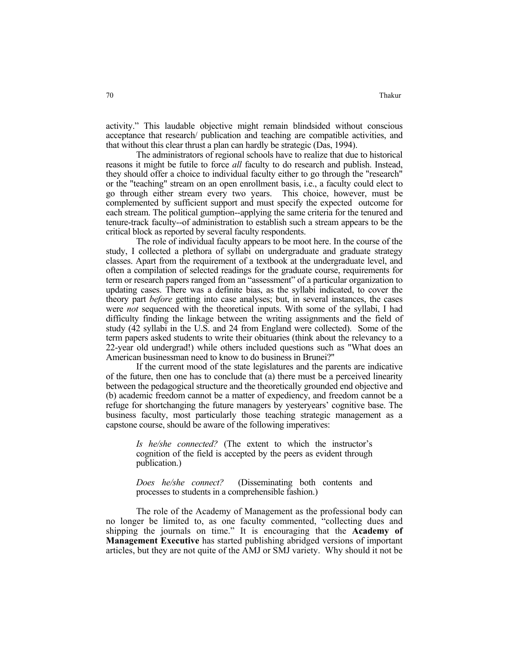activity." This laudable objective might remain blindsided without conscious acceptance that research/ publication and teaching are compatible activities, and that without this clear thrust a plan can hardly be strategic (Das, 1994).

 The administrators of regional schools have to realize that due to historical reasons it might be futile to force *all* faculty to do research and publish. Instead, they should offer a choice to individual faculty either to go through the "research" or the "teaching" stream on an open enrollment basis, i.e., a faculty could elect to go through either stream every two years. This choice, however, must be complemented by sufficient support and must specify the expected outcome for each stream. The political gumption--applying the same criteria for the tenured and tenure-track faculty--of administration to establish such a stream appears to be the critical block as reported by several faculty respondents.

 The role of individual faculty appears to be moot here. In the course of the study, I collected a plethora of syllabi on undergraduate and graduate strategy classes. Apart from the requirement of a textbook at the undergraduate level, and often a compilation of selected readings for the graduate course, requirements for term or research papers ranged from an "assessment" of a particular organization to updating cases. There was a definite bias, as the syllabi indicated, to cover the theory part *before* getting into case analyses; but, in several instances, the cases were *not* sequenced with the theoretical inputs. With some of the syllabi, I had difficulty finding the linkage between the writing assignments and the field of study (42 syllabi in the U.S. and 24 from England were collected). Some of the term papers asked students to write their obituaries (think about the relevancy to a 22-year old undergrad!) while others included questions such as "What does an American businessman need to know to do business in Brunei?"

 If the current mood of the state legislatures and the parents are indicative of the future, then one has to conclude that (a) there must be a perceived linearity between the pedagogical structure and the theoretically grounded end objective and (b) academic freedom cannot be a matter of expediency, and freedom cannot be a refuge for shortchanging the future managers by yesteryears' cognitive base. The business faculty, most particularly those teaching strategic management as a capstone course, should be aware of the following imperatives:

> *Is he/she connected?* (The extent to which the instructor's cognition of the field is accepted by the peers as evident through publication.)

> *Does he/she connect?* (Disseminating both contents and processes to students in a comprehensible fashion.)

 The role of the Academy of Management as the professional body can no longer be limited to, as one faculty commented, "collecting dues and shipping the journals on time." It is encouraging that the **Academy of Management Executive** has started publishing abridged versions of important articles, but they are not quite of the AMJ or SMJ variety. Why should it not be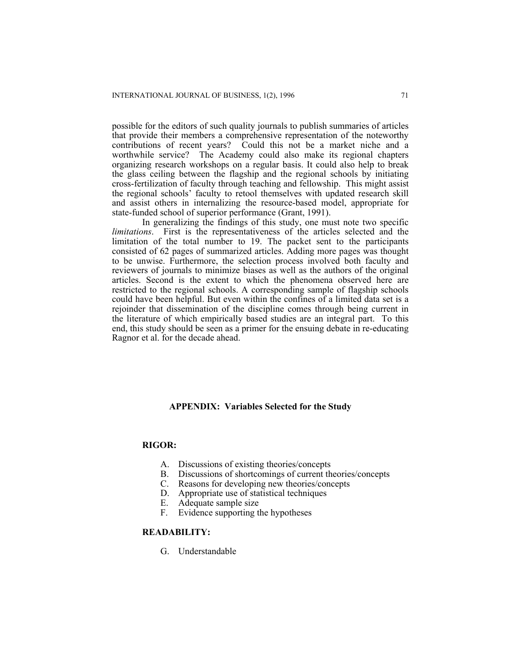possible for the editors of such quality journals to publish summaries of articles that provide their members a comprehensive representation of the noteworthy contributions of recent years? Could this not be a market niche and a worthwhile service? The Academy could also make its regional chapters organizing research workshops on a regular basis. It could also help to break the glass ceiling between the flagship and the regional schools by initiating cross-fertilization of faculty through teaching and fellowship. This might assist the regional schools' faculty to retool themselves with updated research skill and assist others in internalizing the resource-based model, appropriate for state-funded school of superior performance (Grant, 1991).

 In generalizing the findings of this study, one must note two specific *limitations*. First is the representativeness of the articles selected and the limitation of the total number to 19. The packet sent to the participants consisted of 62 pages of summarized articles. Adding more pages was thought to be unwise. Furthermore, the selection process involved both faculty and reviewers of journals to minimize biases as well as the authors of the original articles. Second is the extent to which the phenomena observed here are restricted to the regional schools. A corresponding sample of flagship schools could have been helpful. But even within the confines of a limited data set is a rejoinder that dissemination of the discipline comes through being current in the literature of which empirically based studies are an integral part. To this end, this study should be seen as a primer for the ensuing debate in re-educating Ragnor et al. for the decade ahead.

#### **APPENDIX: Variables Selected for the Study**

## **RIGOR:**

- A. Discussions of existing theories/concepts
- B. Discussions of shortcomings of current theories/concepts C. Reasons for developing new theories/concepts
- Reasons for developing new theories/concepts
- D. Appropriate use of statistical techniques<br>E. Adequate sample size
- E. Adequate sample size<br>F. Evidence supporting the
- Evidence supporting the hypotheses

### **READABILITY:**

G. Understandable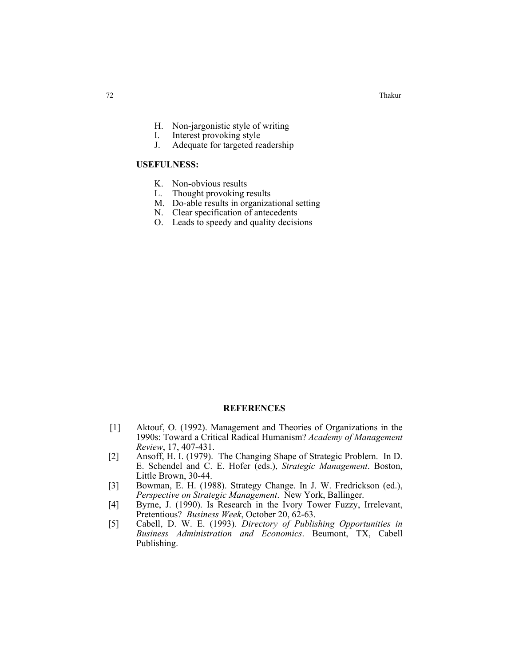Thakur and the contract of the contract of the contract of the contract of the contract of the contract of the contract of the contract of the contract of the contract of the contract of the contract of the contract of the

- H. Non-jargonistic style of writing
- I. Interest provoking style
- J. Adequate for targeted readership

## **USEFULNESS:**

- K. Non-obvious results
- L. Thought provoking results
- M. Do-able results in organizational setting
- N. Clear specification of antecedents
- O. Leads to speedy and quality decisions

## **REFERENCES**

- [1] Aktouf, O. (1992). Management and Theories of Organizations in the 1990s: Toward a Critical Radical Humanism? *Academy of Management Review*, 17, 407-431.
- [2] Ansoff, H. I. (1979). The Changing Shape of Strategic Problem. In D. E. Schendel and C. E. Hofer (eds.), *Strategic Management*. Boston, Little Brown, 30-44.
- [3] Bowman, E. H. (1988). Strategy Change. In J. W. Fredrickson (ed.), *Perspective on Strategic Management*. New York, Ballinger.
- [4] Byrne, J. (1990). Is Research in the Ivory Tower Fuzzy, Irrelevant, Pretentious? *Business Week*, October 20, 62-63.
- [5] Cabell, D. W. E. (1993). *Directory of Publishing Opportunities in Business Administration and Economics*. Beumont, TX, Cabell Publishing.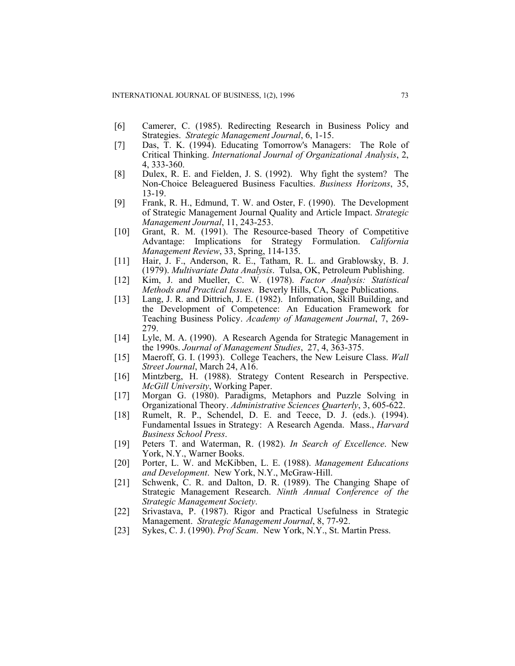- [6] Camerer, C. (1985). Redirecting Research in Business Policy and Strategies. *Strategic Management Journal*, 6, 1-15.
- [7] Das, T. K. (1994). Educating Tomorrow's Managers: The Role of Critical Thinking. *International Journal of Organizational Analysis*, 2, 4, 333-360.
- [8] Dulex, R. E. and Fielden, J. S. (1992). Why fight the system? The Non-Choice Beleaguered Business Faculties. *Business Horizons*, 35, 13-19.
- [9] Frank, R. H., Edmund, T. W. and Oster, F. (1990). The Development of Strategic Management Journal Quality and Article Impact. *Strategic Management Journal*, 11, 243-253.
- [10] Grant, R. M. (1991). The Resource-based Theory of Competitive Advantage: Implications for Strategy Formulation. *California Management Review*, 33, Spring, 114-135.
- [11] Hair, J. F., Anderson, R. E., Tatham, R. L. and Grablowsky, B. J. (1979). *Multivariate Data Analysis*. Tulsa, OK, Petroleum Publishing.
- [12] Kim, J. and Mueller, C. W. (1978). *Factor Analysis: Statistical Methods and Practical Issues*. Beverly Hills, CA, Sage Publications.
- [13] Lang, J. R. and Dittrich, J. E. (1982). Information, Skill Building, and the Development of Competence: An Education Framework for Teaching Business Policy. *Academy of Management Journal*, 7, 269- 279.
- [14] Lyle, M. A. (1990). A Research Agenda for Strategic Management in the 1990s. *Journal of Management Studies*, 27, 4, 363-375.
- [15] Maeroff, G. I. (1993). College Teachers, the New Leisure Class. *Wall Street Journal*, March 24, A16.
- [16] Mintzberg, H. (1988). Strategy Content Research in Perspective. *McGill University*, Working Paper.
- [17] Morgan G. (1980). Paradigms, Metaphors and Puzzle Solving in Organizational Theory. *Administrative Sciences Quarterly*, 3, 605-622.
- [18] Rumelt, R. P., Schendel, D. E. and Teece, D. J. (eds.). (1994). Fundamental Issues in Strategy: A Research Agenda. Mass., *Harvard Business School Press*.
- [19] Peters T. and Waterman, R. (1982). *In Search of Excellence*. New York, N.Y., Warner Books.
- [20] Porter, L. W. and McKibben, L. E. (1988). *Management Educations and Development*. New York, N.Y., McGraw-Hill.
- [21] Schwenk, C. R. and Dalton, D. R. (1989). The Changing Shape of Strategic Management Research. *Ninth Annual Conference of the Strategic Management Society*.
- [22] Srivastava, P. (1987). Rigor and Practical Usefulness in Strategic Management. *Strategic Management Journal*, 8, 77-92.
- [23] Sykes, C. J. (1990). *Prof Scam*. New York, N.Y., St. Martin Press.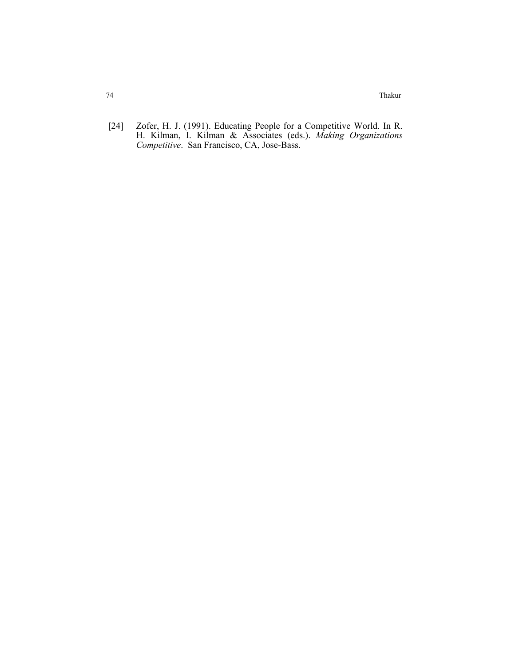74 Thakur

 [24] Zofer, H. J. (1991). Educating People for a Competitive World. In R. H. Kilman, I. Kilman & Associates (eds.). *Making Organizations Competitive*. San Francisco, CA, Jose-Bass.